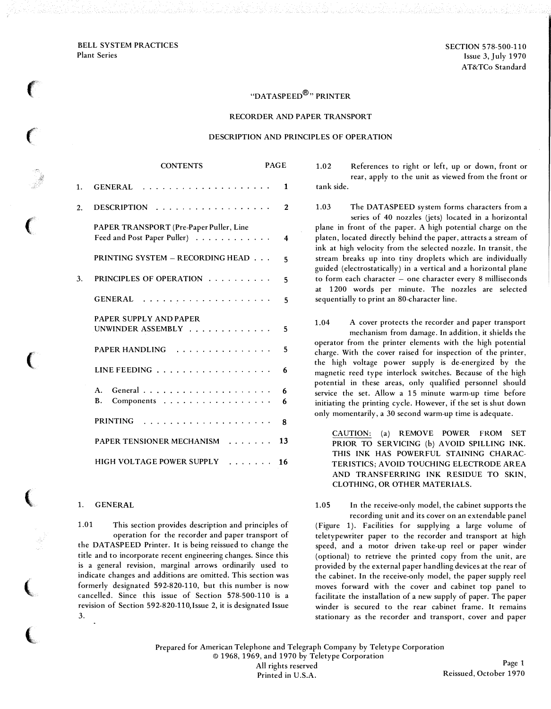BELL SYSTEM PRACTICES Plant Series

 $\epsilon$ 

 $\epsilon$ 

 $\big($ 

 $\big($ 

 $\big($ 

 $\left(\rule{0pt}{10pt}\right.$ 

(.

SECTION 578-500-110 Issue 3, July 1970 AT&TCo Standard

# "DATASPEED®" PRINTER

#### RECORDER AND PAPER TRANSPORT

### DESCRIPTION AND PRINCIPLES OF OPERATION

|    | CONTENTS                                                               | PAGE   |
|----|------------------------------------------------------------------------|--------|
| 1. |                                                                        | 1      |
| 2. | $DESCRIPTION$                                                          | 2      |
|    | PAPER TRANSPORT (Pre-Paper Puller, Line<br>Feed and Post Paper Puller) | 4      |
|    | PRINTING SYSTEM - RECORDING HEAD                                       | 5      |
| 3. | PRINCIPLES OF OPERATION                                                | 5      |
|    |                                                                        | 5      |
|    | PAPER SUPPLY AND PAPER<br>UNWINDER ASSEMBLY $\ldots$ ,                 | 5      |
|    | PAPER HANDLING                                                         | 5      |
|    | LINE FEEDING $\ldots$                                                  | 6      |
|    | $\mathbf{A}$ .<br>Components<br><b>B.</b>                              | 6<br>6 |
|    | <b>PRINTING</b><br>.                                                   | 8      |
|    | PAPER TENSIONER MECHANISM                                              | 13     |
|    | <b>HIGH VOLTAGE POWER SUPPLY</b>                                       | 16     |

# 1. GENERAL

1.01 This section provides description and principles of operation for the recorder and paper transport of the DATASPEED Printer. It is being reissued to change the title and to incorporate recent engineering changes. Since this is a general revision, marginal arrows ordinarily used to indicate changes and additions are omitted. This section was formerly designated 592-820-110, but this number is now cancelled. Since this issue of Section 578-500-110 is a revision of Section 592-820-llO,Issue 2, it is designated Issue 3.

1.02 References to right or left, up or down, front or rear, apply to the unit as viewed from the front or tank side.

1.03 The DATASPEED system forms characters from a series of 40 nozzles (jets) located in a horizontal plane in front of the paper. A high potential charge on the platen, located directly behind the paper, attracts a stream of ink at high velocity from the selected nozzle. In transit, the stream breaks up into tiny droplets which are individually guided (electrostatically) in a vertical and a horizontal plane to form each character - one character every 8 milliseconds at 1200 words per minute. The nozzles are selected sequentially to print an 80-character line.

1.04 A cover protects the recorder and paper transport mechanism from damage. In addition, it shields the operator from the printer elements with the high potential charge. With the cover raised for inspection of the printer, the high voltage power supply is de-energized by the magnetic reed type interlock switches. Because of the high potential in these areas, only qualified personnel should service the set. Allow a 15 minute warm-up time before initiating the printing cycle. However, if the set is shut down only momentarily, a 30 second warm-up time is adequate.

CAUTION: (a) REMOVE POWER FROM SET PRIOR TO SERVICING (b) AVOID SPILLING INK. THIS INK HAS POWERFUL STAINING CHARAC-TERISTICS; AVOID TOUCHING ELECTRODE AREA AND TRANSFERRING INK RESIDUE TO SKIN, CLOTHING, OR OTHER MATERIALS.

1.05 In the receive -only model, the cabinet supports the recording unit and its cover on an extendable panel

(Figure 1). Facilities for supplying a large volume of teletypewriter paper to the recorder and transport at high speed, and a motor driven take-up reel or paper winder (optional) to retrieve the printed copy from the unit, are provided by the external paper handling devices at the rear of the cabinet. In the receive -only model, the paper supply reel moves forward with the cover and cabinet top panel to facilitate the installation of a new supply of paper. The paper winder is secured to the rear cabinet frame. It remains stationary as the recorder and transport, cover and paper

Prepared for American Telephone and Telegraph Company by Teletype Corporation © 196 8, 1969, and 1970 by Teletype Corporation All rights reserved Printed in U.S.A.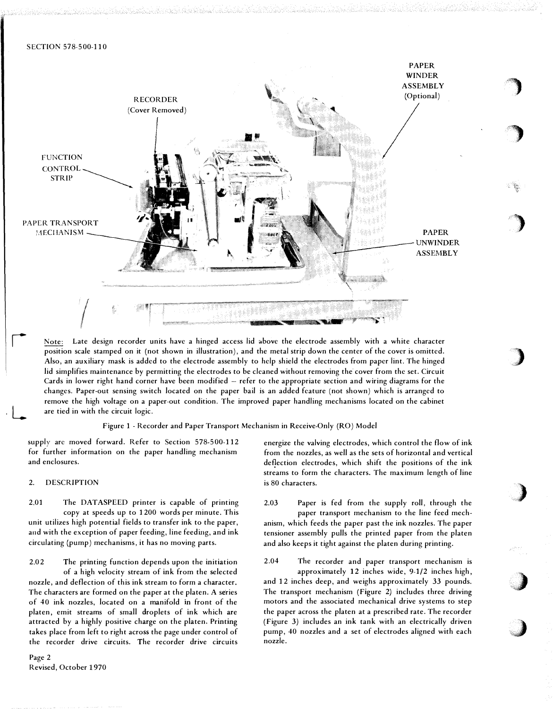

Note: Late design recorder units have a hinged access lid above the electrode assembly with a white character position scale stamped on it (not shown in illustration), and the metal strip down the center of the cover is omitted. Also, an auxiliary mask is added to the electrode assembly to help shield the electrodes from paper lint. The hinged lid simplifies maintenance by permitting the electrodes to be cleaned without removing the cover from the set. Circuit Cards in lower right hand corner have been modified – refer to the appropriate section and wiring diagrams for the changes. Paper-out sensing switch located on the paper bail is an added feature (not shown) which is arranged to remove the high voltage on a paper-out condition. The improved paper handling mechanisms located on the cabinet are tied in with the circuit logic.

Figure 1 - Recorder and Paper Transport Mechanism in Receive-Only (RO) Model

supply are moved forward. Refer to Section 578-500-112 for further information on the paper handling mechanism and enclosures.

### 2. DESCRIPTION

L

2.01 The DATASPEED printer is capable of printing copy at speeds up to 1200 words per minute. This unit utilizes high potential fields to transfer ink to the paper, and with the exception of paper feeding, line feeding, and ink circulating (pump) mechanisms, it has no moving parts.

2.02 The printing function depends upon the initiation of a high velocity stream of ink from the selected nozzle, and deflection of this ink stream to form a character. The characters are formed on the paper at the platen. A series of 40 ink nozzles, located on a manifold in front of the platen, emit streams of small droplets of ink which are attracted by a highly positive charge on the platen. Printing takes place from left to right across the page under control of the recorder drive circuits. The recorder drive circuits energize the valving electrodes, which control the flow of ink from the nozzles, as well as the sets of horizontal and vertical deflection electrodes, which shift the positions of the ink streams to form the characters. The maximum length of line is 80 characters.

'")

)

)

)

)

,,,)

- ''

2.03 Paper is fed from the supply roll, through the paper transport mechanism to the line feed mechanism, which feeds the paper past the ink nozzles. The paper tensioner assembly pulls the printed paper from the platen and also keeps it tight against the platen during printing.

2.04 The recorder and paper transport mechanism is

approximately 12 inches wide, 9-1/2 inches high, and 12 inches deep, and weighs approximately 33 pounds. The transport mechanism (Figure 2) includes three driving motors and the associated mechanical drive systems to step the paper across the platen at a prescribed rate. The recorder (Figure 3) includes an ink tank with an electrically driven pump, 40 nozzles and a set of electrodes aligned with each nozzle.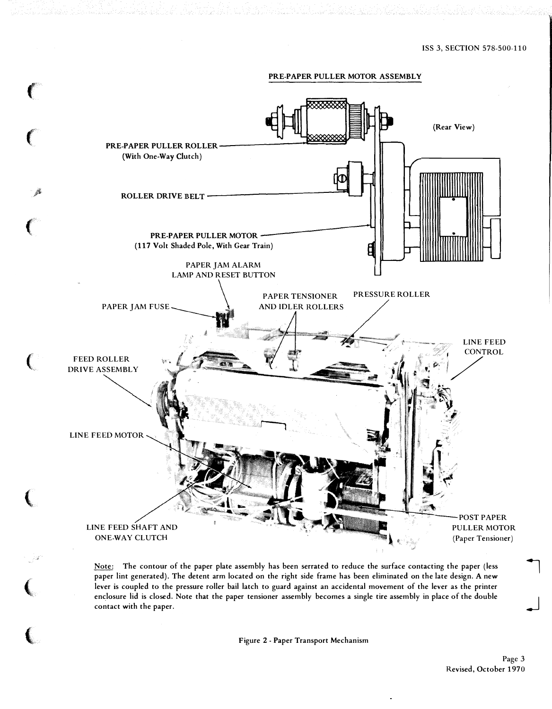

Note: The contour of the paper plate assembly has been serrated to reduce the surface contacting the paper (less paper lint generated). The detent arm located on the right side frame has been eliminated on the late design. A new lever is coupled to the pressure roller bail latch to guard against an accidental movement of the lever as the printer enclosure lid is closed. Note that the paper tensioner assembly becomes a single tire assembly in place of the double contact with the paper.

Figure 2- Paper Transport Mechanism

 $\mathcal{L}$ 

 $\overline{\phantom{a}}$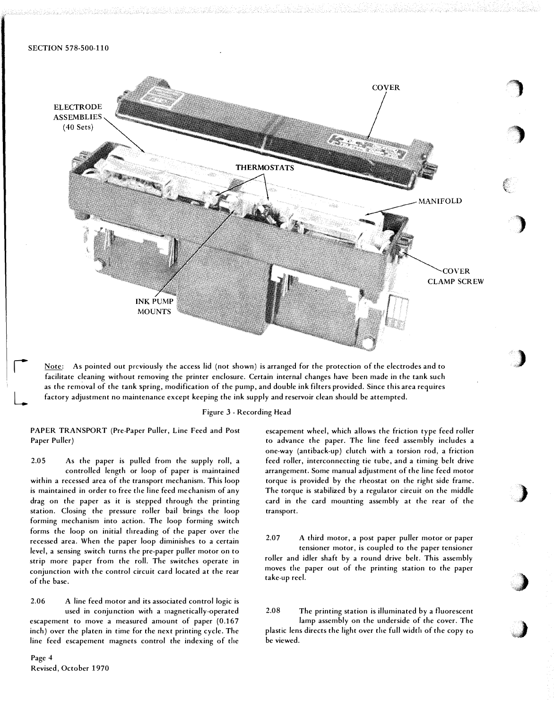

Note: As pointed out previously the access lid (not shown) is arranged for the protection of the electrodes and to facilitate cleaning without removing the printer enclosure. Certain internal changes have been made in the tank such as the rem�val of the tank spring, modification of the pump, and double ink filters provided. Since this area requires factory adjustment no maintenance except keeping the ink supply and reservoir clean should be attempted.

#### Figure 3 - Recording Head

PAPER TRANSPORT (Pre-Paper Puller, Line Feed and Post Paper Puller)

2.05 As the paper is pulled from the supply roll, a controlled length or loop of paper is maintained within a recessed area of the transport mechanism. This loop is maintained in order to free the line feed mechanism of any drag on the paper as it is stepped through the printing station. Closing the pressure roller bail brings the loop forming mechanism into action. The loop forming switch forms the loop on initial threading of the paper over the recessed area. When the paper loop diminishes to a certain level, a sensing switch turns the pre-paper puller motor on to strip more paper from the roll. The switches operate in conjunction with the control circuit card located at the rear of the base.

2.06 A line feed motor and its associated control logic is used in conjunction with a magnetically-operated escapement to move a measured amount of paper (0.167 inch) over the platen in time for the next printing cycle. The line feed escapement magnets control the indexing of the

Page 4 Revised, October 1970

r

 $\overline{\phantom{a}}$ 

escapement wheel, which allows the friction type feed roller to advance the paper. The line feed assembly includes a one-way (antiback-up) clutch with a torsion rod, a friction feed roller, interconnecting tie tube, and a timing belt drive arrangement. Some manual adjustment of the line feed motor torque is provided by the rheostat on the right side frame. The torque is stabilized by a regulator circuit on the middle card in the card mounting assembly at the rear of the transport.

\_)

**)** 

 $\bigcup$ 

2.07 A third motor, a post paper puller motor or paper tensioner motor, is coupled to the paper tensioner roller and idler shaft by a round drive belt. This assembly moves the paper out of the printing station to the paper take-up reel.

2.08 The printing station is illuminated by a fluorescent lamp assembly on the underside of the cover. The plastic lens directs the light over the full width of the copy to be viewed.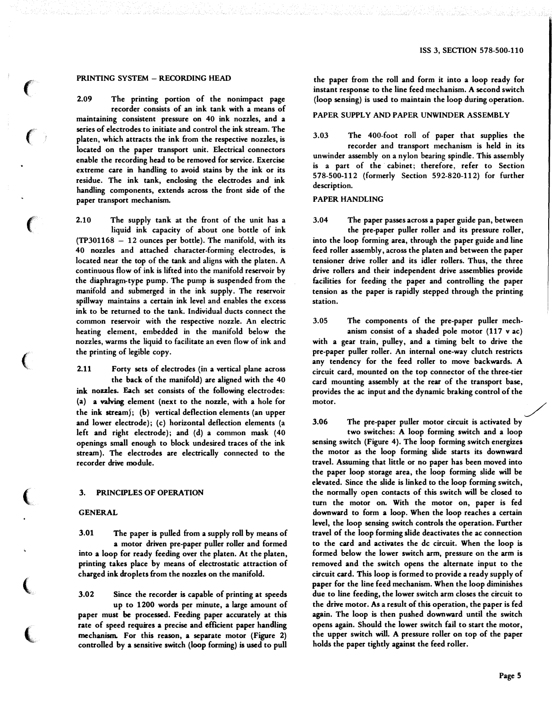# PRINTING SYSTEM - RECORDING HEAD

 $\ell$ 

 $\epsilon$ 

 $\left($ 

 $\big($ 

 $\big($ 

(

 $\big($ 

2.09 The printing portion of the nonimpact page recorder consists of an ink tank with a means of maintaining consistent pressure on 40 ink nozzles, and a series of electrodes to initiate and control the ink stream. The platen, which attracts the ink from the respective nozzles, is located on the paper transport unit. Electrical connectors enable the recording head to be removed for service. Exercise extreme care in handling to avoid stains by the ink or its residue. The ink tank, enclosing the electrodes and ink handling components, extends across the front side of the paper transport mechanism.

2.10 The supply tank at the front of the unit has a liquid ink capacity of about one bottle of ink (TP301168 - 12 ounces per bottle). The manifold, with its 40 nozzles and attached character-forming electrodes, is located near the top of the tank and aligns with the platen. A continuous flow of ink is lifted into the manifold reservoir by the diaphragm-type pump. The pump is suspended from the manifold and submerged in the ink supply. The reservoir spillway maintains a certain ink level and enables the excess ink to be returned to the tank. Individual ducts connect the common reservoir with the respective nozzle. An electric heating element, embedded in the manifold below the nozzles, warms the liquid to facilitate an even flow of ink and the printing of legible copy.

2.11 Forty sets of electrodes (in a vertical plane across the back of the manifold) are aligned with the 40 ink nozzles. Each set consists of the following electrodes: {a) a valving element {next to the nozzle, with a hole for the ink stream); {b) vertical deflection elements (an upper and lower electrode); {c) horizontal deflection elements (a left and right electrode); and (d) a common mask (40 openings small enough to block undesired traces of the ink stream). The electrodes are electrically connected to the recorder drive module.

### 3. PRINCIPLES OF OPERATION

#### GENERAL

3.01 The paper is pulled from a supply roll by means of a motor driven pre-paper puller roller and formed into a loop for ready feeding over the platen. At the platen, printing takes place by means of electrostatic attraction of charged ink droplets from the nozzles on the manifold.

3.02 Since the recorder is capable of printing at speeds up to 1200 words per minute, a large amount of paper must be processed. Feeding paper accurately at this rate of speed requires a precise and efficient paper handling mechanism. For this reason, a separate motor {Figure 2) controlled by a sensitive switch {loop forming) is used to pull

the paper from the roll and form it into a loop ready for instant response to the line feed mechanism. A second switch (loop sensing) is used to maintain the loop during operation.

### PAPER SUPPLY AND PAPER UNWINDER ASSEMBLY

3.03 The 400-foot roll of paper that supplies the recorder and transport mechanism is held in its unwinder assembly on a nylon bearing spindle. This assembly is a part of the cabinet; therefore, refer to Section 578-500-112 (formerly Section 592-820-112) for further description.

#### PAPER HANDLING

3.04 The paper passes across a paper guide pan, between the pre-paper puller roller and its pressure roller, into the loop forming area, through the paper guide and line feed roller assembly, across the platen and between the paper tensioner drive roller and its idler rollers. Thus, the three drive rollers and their independent drive assemblies provide facilities for feeding the paper and controlling the paper tension as the paper is rapidly stepped through the printing station.

3.05 The components of the pre-paper puller mechanism consist of a shaded pole motor (117 v ac) with a gear train, pulley, and a timing belt to drive the pre-paper puller roller. An internal one-way clutch restricts any tendency for the feed roller to move backwards. A circuit card, mounted on the top connector of the three-tier card mounting assembly at the rear of the transport base, provides the ac input and the dynamic braking control of the motor.  $\diagup$ 

3.06 The pre-paper puller motor circuit is activated by

two switches: A loop forming switch and a loop sensing switch {Figure 4). The loop forming switch energizes the motor as the loop forming slide starts its downward travel. Assuming that little or no paper has been moved into the paper loop storage area, the loop forming slide will be elevated. Since the slide is linked to the loop forming switch, the normally open contacts of this switch will be closed to turn the motor on. With the motor on, paper is fed downward to form a loop. When the loop reaches a certain level, the loop sensing switch controls the operation. Further travel of the loop forming slide deactivates the ac connection to the card and activates the de circuit. When the loop is formed below the lower switch arm, pressure on the arm is removed and the switch opens the alternate input to the circuit card. This loop is formed to provide a ready supply of paper for the line feed mechanism. When the loop diminishes due to line feeding, the lower switch arm closes the circuit to the drive motor. As a result of this operation, the paper is fed again. The loop is then pushed downward until the switch opens again. Should the lower switch fail to start the motor, the upper switch will. A pressure roller on top of the paper holds the paper tightly against the feed roller.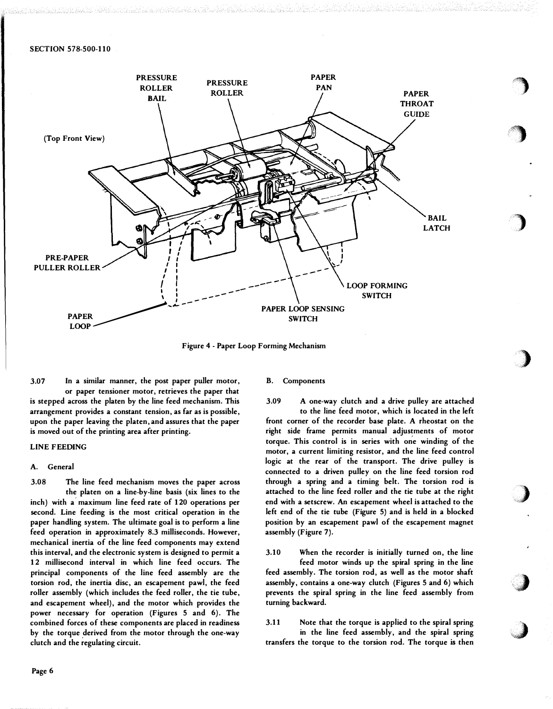

Figure 4- Paper Loop Forming Mechanism

3.07 In a similar manner, the post paper puller motor, or paper tensioner motor, retrieves the paper that is stepped across the platen by the line feed mechanism. This arrangement provides a constant tension, as far as is possible, upon the paper leaving the platen, and assures that the paper is moved out of the printing area after printing.

# LINE FEEDING

### A. General

3.08 The line feed mechanism moves the paper across the platen on a line-by-line basis (six lines to the inch) with a maximum line feed rate of 120 operations per second. Line feeding is the most critical operation in the paper handling system. The ultimate goal is to perform a line feed operation in approximately 8.3 milliseconds. However, mechanical inertia of the line feed components may extend this interval, and the electronic system is designed to permit a 12 millisecond interval in which line feed occurs. The principal components of the line feed assembly are the torsion rod, the inertia disc, an escapement pawl, the feed roller assembly (which includes the feed roller, the tie tube, and escapement wheel), and the motor which provides the power necessary for operation (Figures 5 and 6). The combined forces of these components are placed in readiness by the torque derived from the motor through the one-way clutch and the regulating circuit.

#### B. Components

3.09 A one-way clutch and a drive pulley are attached to the line feed motor, which is located in the left front corner of the recorder base plate. A rheostat on the right side frame permits manual adjustments of motor torque. This control is in series with one winding of the motor, a current limiting resistor, and the line feed control logic at the rear of the transport. The drive pulley is connected to a driven pulley on the line feed torsion rod through a spring and a timing belt. The torsion rod is attached to the line feed roller and the tie tube at the right end with a setscrew. An escapement wheel is attached to the left end of the tie tube (Figure 5) and is held in a blocked position by an escapement pawl of the escapement magnet assembly (Figure 7).

i,

 $\cdot$   $\cdot$   $\cdot$  $\bullet$ 

 $\big)$ 

)

)

)

.J

3.10 When the recorder is initially turned on, the line feed motor winds up the spiral spring in the line feed assembly. The torsion rod, as well as the motor shaft assembly, contains a one-way clutch (Figures 5 and 6) which prevents the spiral spring in the line feed assembly from turning backward.

3.11 Note that the torque is applied to the spiral spring in the line feed assembly, and the spiral spring transfers the torque to the torsion rod. The torque is then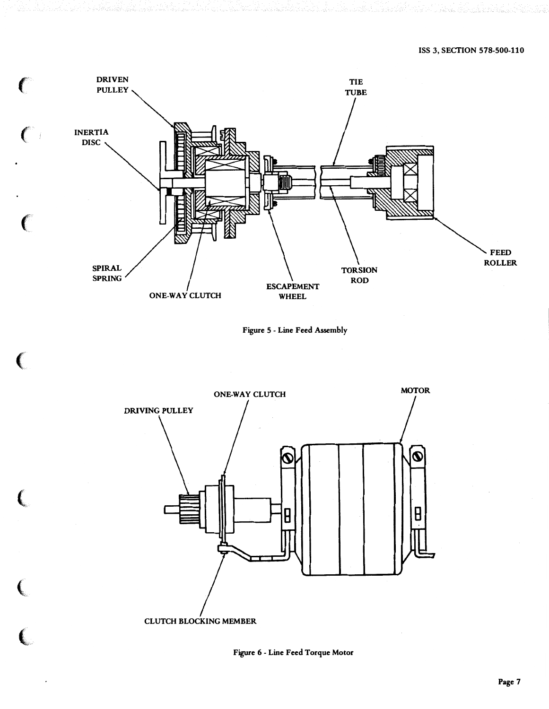







(a) state of the state of the state of

 $\epsilon$ 

 $\left($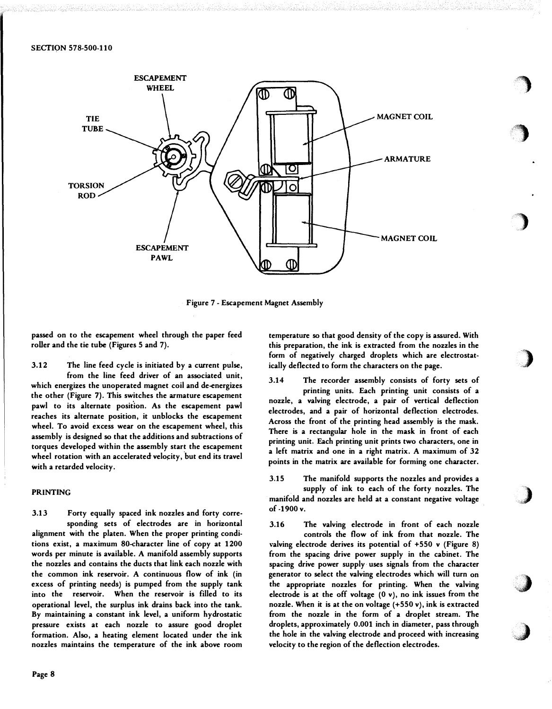

Figure <sup>7</sup>- Escapement Magnet Assembly

passed on to the escapement wheel through the paper feed roller and the tie tube (Figures 5 and 7).

3.12 The line feed cycle is initiated by a current pulse, from the line feed driver of an associated unit, which energizes the unoperated magnet coil and de-energizes the other (Figure 7). This switches the armature escapement pawl to its alternate position. As the escapement pawl reaches its alternate position, it unblocks the escapement wheel. To avoid excess wear on the escapement wheel, this assembly is designed so that the additions and subtractions of torques developed within the assembly start the escapement wheel rotation with an accelerated velocity, but end its travel with a retarded velocity.

# PRINTING

3.13 Forty equally spaced ink nozzles and forty corresponding sets of electrodes are in horizontal alignment with the platen. When the proper printing conditions exist, a maximum SO-character line of copy at 1200 words per minute is available. A manifold assembly supports the nozzles and contains the ducts that link each nozzle with the common ink reservoir. A continuous flow of ink (in excess of printing needs) is pumped from the supply tank into the reservoir. When the reservoir is filled to its operational level, the surplus ink drains back into the tank. By maintaining a constant ink level, a uniform hydrostatic pressure exists at each nozzle to assure good droplet formation. Also, a heating element located under the ink nozzles maintains the temperature of the ink above room temperature so that good density of the copy is assured. With this preparation, the ink is extracted from the nozzles in the form of negatively charged droplets which are electrostatically deflected to form the characters on the page.

·�

**)** 

'')

)

J

 $\bigcup$ 

J

3.14 The recorder assembly consists of forty sets of printing units. Each printing unit consists of a nozzle, a valving electrode, a pair of vertical deflection electrodes, and a pair of horizontal deflection electrodes. Across the front of the printing head assembly is the mask. There is a rectangular hole in the mask in front of each printing unit. Each printing unit prints two characters, one in a left matrix and one in a right matrix. A maximum of 32 points in the matrix are available for forming one character.

3.15 The manifold supports the nozzles and provides a supply of ink to each of the forty nozzles. The manifold and nozzles are held at a constant negative voltage of -1900 v.

3.16 The valving electrode in front of each nozzle controls the flow of ink from that nozzle. The valving electrode derives its potential of +550 v (Figure 8) from the spacing drive power supply in the cabinet. The spacing drive power supply· uses signals from the character generator to select the valving electrodes which will turn on the appropriate nozzles for printing. When the valving electrode is at the off voltage (0 v), no ink issues from the nozzle. When it is at the on voltage (+550 v), ink is extracted from the nozzle in the form of a droplet stream. The droplets, approximately 0.001 inch in diameter, pass through the hole in the valving electrode and proceed with increasing velocity to the region of the deflection electrodes.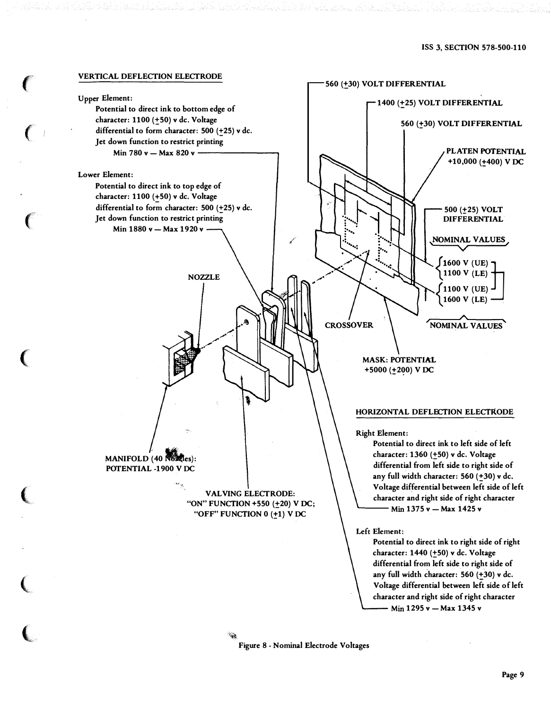

 $\epsilon$ 

 $\left($ 

 $\big($ 

(

(

 $\overline{\mathbb{C}}$ 

Figure 8- Nominal Electrode Voltages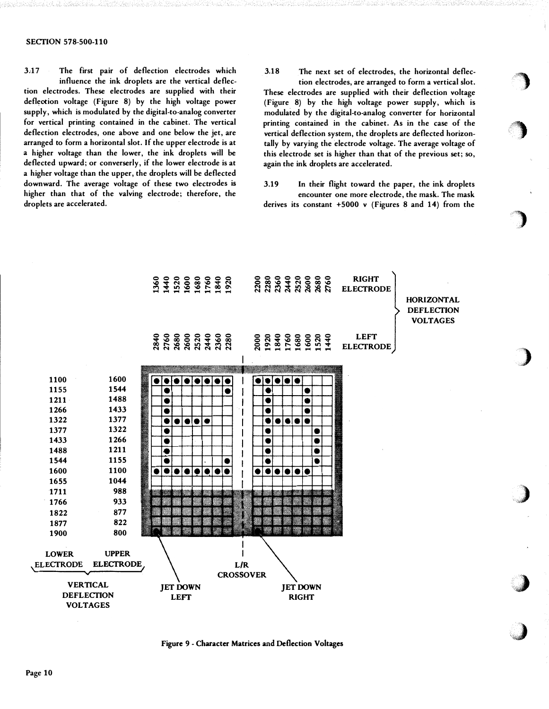#### SECTION 578-500-110

3,17 The first pair of deflection electrodes which influence the ink droplets are the vertical deflec-

tion electrodes. These electrodes are supplied with their deflection voltage (Figure 8) by the high voltage power supply, which is modulated by the digital-to-analog converter for vertical printing contained in the cabinet. The vertical deflection electrodes, one above and one below the jet, are arranged to form a horizontal slot. If the upper electrode is at a higher voltage than the lower, the ink droplets will be deflected upward; or converserly, if the lower electrode is at a higher voltage than the upper, the droplets will be deflected downward. The average voltage of these two electrodes is higher than that of the valving electrode; therefore, the droplets are accelerated.

3.18 The next set of electrodes, the horizontal deflec-

tion electrodes, are arranged to form a vertical slot. These electrodes are supplied with their deflection voltage (Figure 8) by the high voltage power supply, which is modulated by the digital-to-analog converter for horizontal printing contained in the cabinet. As in the case of the vertical deflection system, the droplets are deflected horizontally by varying the electrode voltage. The average voltage of this electrode set is higher than that of the previous set; so, again the ink droplets are accelerated.

3.19 In their flight toward the paper, the ink droplets encounter one more electrode, the mask. The mask derives its constant +5000 v (Figures 8 and 14) from the

··�



Figure 9- Character Matrices and Deflection Voltages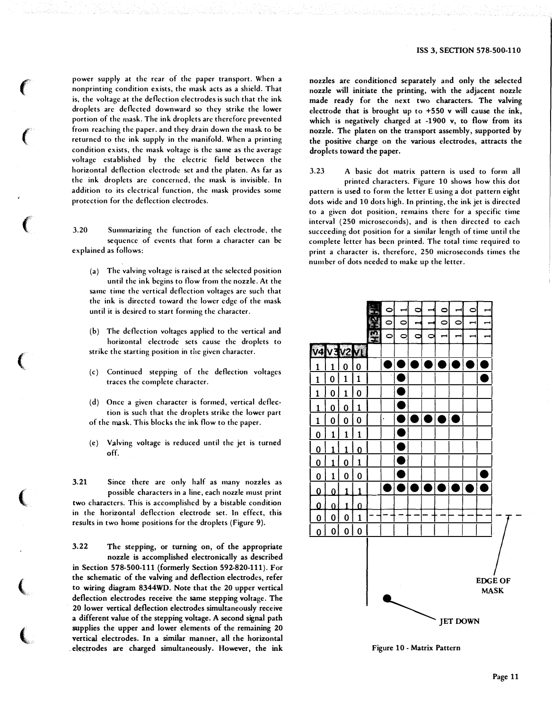power supply at the rear of the paper transport. When a nonprinting condition exists, the mask acts as a shield. That is, the voltage at the deflection electrodes is such that the ink droplets arc deflected downward so they strike the lower portion of the mask. The ink droplets arc therefore prevented from reaching the paper, and they drain down the mask to be returned to the ink supply in the manifold. When a printing condition exists, the mask voltage is the same as the average voltage established by the electric field between the horizontal deflection electrode set and the platen. As far as the ink droplets arc concerned, the mask is invisible. In addition to its electrical function, the mask provides some protection for the deflection electrodes.

 $\epsilon$ 

 $\left($ 

 $\big($ 

 $\left(\right.$ 

 $\left(\rule{0pt}{10pt}\right.$ 

 $\big($ 

 $\overline{\mathbb{C}}$ 

3.20 Summarizing the function of each electrode, the sequence of events that form a character can be explained as follows:

(a) The valving voltage is raised at the selected position until the ink begins to flow from the nozzle. At the same time the vertical deflection voltages arc such that the ink is directed toward the lower edge of the mask until it is desired to start forming the character.

(b) The deflection voltages applied to the vertical and horizontal electrode sets cause the droplets to strike the starting position in the given character.

- (c) Continued stepping of the deflection voltages traces the complete character.
- (d) Once a given character is formed, vertical deflection is such that the droplets strike the lower part of the mask. This blocks the ink flow to the paper.
- (e) Valving voltage is reduced until the jet is turned off.

3.21 Since there arc only half as many nozzles as possible characters in a line, each nozzle must print two characters. This is accomplished by a bistable condition in the horizontal deflection electrode set. In effect, this results in two home positions for the droplets (Figure 9).

3.22 The stepping, or turning on, of the appropriate nozzle is accomplished electronically as described in Section 578-500-111 (formerly Section 592-820-111 ). For the schematic of the valving and deflection electrodes, refer to wiring diagram 8344WD. Note that the 20 upper vertical deflection electrodes receive the same stepping voltage. The 20 lower vertical deflection electrodes simultaneously receive a different value of the stepping voltage. A second signal path supplies the upper and lower elements of the remaining 20 vertical electrodes. In a similar manner, all the horizontal electrodes are charged simultaneously. However, the ink

nozzles are conditioned separately and only the selected nozzle will initiate the printing, with the adjacent nozzle made ready for the next two characters. The valving electrode that is brought up to +550 v will cause the ink, which is negatively charged at -1900 v, to flow from its nozzle. The platen on the transport assembly, supported by the positive charge on the various electrodes, attracts the droplets toward the paper.

3.23 A basic dot matrix pattern is used to form all printed characters. Figure 10 shows how this dot pattern is used to form the letter E using a dot pattern eight dots wide and 10 dots high. In printing, the ink jet is directed to a given dot position, remains there for a specific time interval (250 microseconds), and is then directed to each succeeding dot position for a similar length of time until the complete letter has been printed. The total time required to print a character is, therefore, 250 microseconds times the number of dots needed to make up the letter.



Figure 10 - Matrix Pattern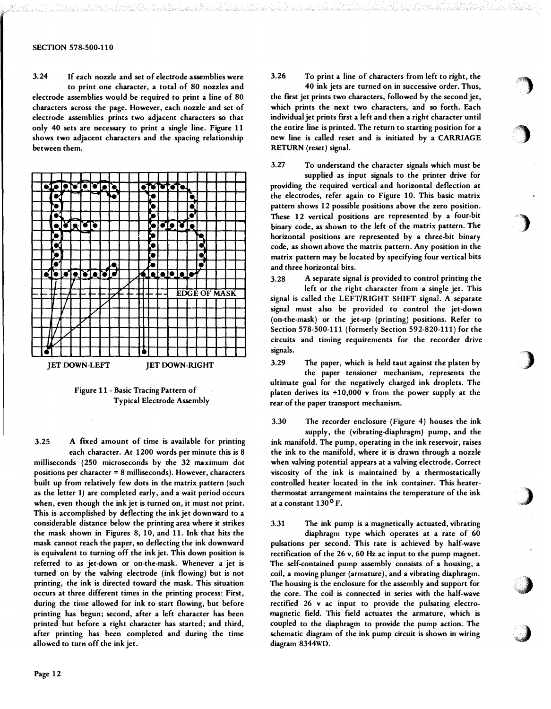3.24 If each nozzle and set of electrode assemblies were to print one character, a total of 80 nozzles and electrode assemblies would be required to print a line of 80 characters across the page. However, each nozzle and set of electrode assemblies prints two adjacent characters so that only 40 sets are necessary to print a single line. Figure 11 shows two adjacent characters and the spacing relationship between them.



Figure 11 - Basic Tracing Pattern of Typical Electrode Assembly

3.25 A ftxed amount of time is available for printing

each character. At 1200 words per minute this is 8 milliseconds (250 microseconds by the 32 maximum dot positions per character= 8 milliseconds). However, characters built up from relatively few dots in the matrix pattern (such as the letter I) are completed early, and a wait period occurs when, even though the ink jet is turned on, it must not print. This is accomplished by deflecting the ink jet downward to a considerable distance below the printing area where it strikes the mask shown in Figures 8, 10, and 11. Ink that hits the mask cannot reach the paper, so deflecting the ink downward is equivalent to turning off the ink jet. This down position is referred to as jet-down or on-the-mask. Whenever a jet is turned on by the valving electrode (ink flowing) but is not printing, the ink is directed toward the mask. This situation occurs at three different times in the printing process: First, during the time allowed for ink to start flowing, but before printing has begun; second, after a left character has been printed but before a right character has started; and third, after printing has been completed and during the time allowed to turn off the ink jet.

3.26 To print a line of characters from left to right, the

 $\big)$ 

'')

 $\big)$ 

)

)

 $\boldsymbol{\ell}$ 

J

40 ink jets are turned on in successive order. Thus, the first jet prints two characters, followed by the second jet, which prints the next two characters, and so forth. Each individual jet prints first a left and then a right character until the entire line is printed. The return to starting position for a new line is called reset and is initiated by a CARRIAGE RETURN (reset) signal.

3.27 To understand the character signals which must be

supplied as input signals to the printer drive for providing the required vertical and horizontal deflection at the electrodes, refer again to Figure 10. This basic matrix pattern shows 12 possible positions above the zero position . These 12 vertical positions are represented by a four-bit  $_{\rm binary}$  code, as shown to the left of the matrix pattern. The  $_{\rm 0}$ horizontal positions are represented by a three-bit binary code, as shown above the matrix pattern. Any position in the matrix pattern may be located by specifying four vertical bits and three horizontal bits.

3.28 A separate signal is provided to control printing the left or the right character from a single jet. This signal is called the LEFT/RIGHT SHIFT signal. A separate signal must also be provided to control the jet-down (on-the-mask) or the jet-up (printing) positions. Refer to Section 578-500-111 (formerly Section 592-820-111) for the circuits and timing requirements for the recorder drive signals.

3.29 The paper, which is held taut against the platen by

the paper tensioner mechanism, represents the ultimate goal for the negatively charged ink droplets. The platen derives its +10,000 v from the power supply at the rear of the paper transport mechanism.

3.30 The recorder enclosure (Figure 4) houses the ink

supply, the (vibrating-diaphragm) pump, and the ink manifold. The pump, operating in the ink reservoir, raises the ink to the manifold, where it is drawn through a nozzle when valving potential appears at a valving electrode. Correct viscosity of the ink is maintained by a thermostatically controlled heater located in the ink container. This heaterthermostat arrangement maintains the temperature of the ink at a constant 130° F.

3.31 The ink pump is a magnetically actuated, vibrating

diaphragm type which operates at a rate of 60 pulsations per second. This rate is achieved by half-wave rectification of the 26 v, 60 Hz ac input to the pump magnet. The self-contained pump assembly consists of a housing, a coil, a moving plunger (armature), and a vibrating diaphragm. The housing is the enclosure for the assembly and support for the core. The coil is connected in series with the half-wave rectified 26 v ac input to provide the pulsating electromagnetic field. This field actuates the armature, which is coupled to the diaphragm to provide the pump action. The schematic diagram of the ink pump circuit is shown in wiring diagram 8344WD.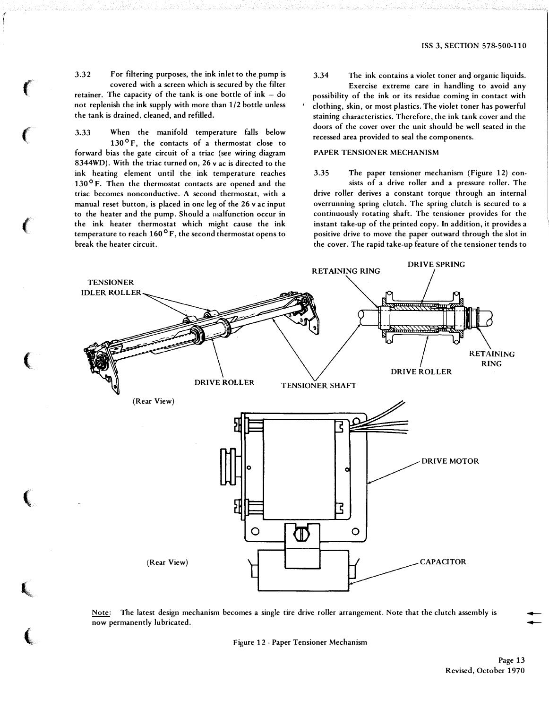3.32 For filtering purposes, the ink inlet to the pump is covered with a screen which is secured by the filter retainer. The capacity of the tank is one bottle of  $ink - do$ not replenish the ink supply with more than 1/2 bottle unless the tank is drained, cleaned, and refilled.

 $\mathbf{f}$ 

 $\epsilon$ 

 $\epsilon$ 

(

(

 $\mathbf{l}$  ,

(

3.33 When the manifold temperature falls below  $130^{\circ}$  F, the contacts of a thermostat close to forward bias the gate circuit of a triac (see wiring diagram 8344WD). With the triac turned on, 26 v ac is directed to the ink heating element until the ink temperature reaches 130°F. Then the thermostat contacts are opened and the triac becomes nonconductive. A second thermostat, with a manual reset button, is placed in one leg of the 26 v ac input to the heater and the pump. Should a malfunction occur in the ink heater thermostat which might cause the ink temperature to reach  $160^{\circ}$  F, the second thermostat opens to break the heater circuit.

3.34 The ink contains a violet toner and organic liquids. Exercise extreme care in handling to avoid any possibility of the ink or its residue coming in contact with clothing, skin, or most plastics. The violet toner has powerful staining characteristics. Therefore, the ink tank cover and the doors of the cover over the unit should be well seated in the recessed area provided to seal the components.

# PAPER TENSIONER MECHANISM

3.35 The paper tensioner mechanism (Figure 12) consists of a drive roller and a pressure roller. The drive roller derives a constant torque through an internal overrunning spring dutch. The spring clutch is secured to a continuously rotating shaft. The tensioner provides for the instant take-up of the printed copy. In addition, it provides a positive drive to move the paper outward through the slot in the cover. The rapid take-up feature of the tensioner tends to



Note: The latest design mechanism becomes a single tire drive roller arrangement. Note that the clutch assembly is now permanently lubricated.

Figure 12 - Paper Tensioner Mechanism

Page 13 Revised, October 1970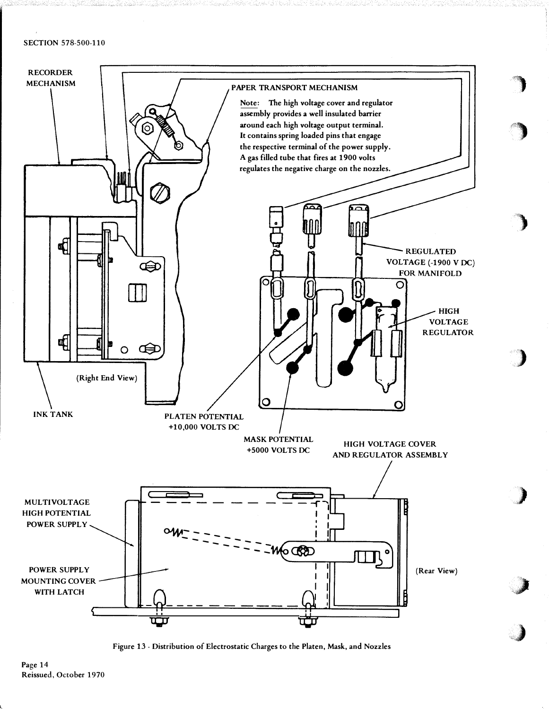# SECTION 578-500-110



 $\ddot{}$ 

 $\sim$ '· '

)

)

)

.:J

 $\rightarrow$ 

Figure 13- Distribution of Electrostatic Charges to the Platen, Mask, and Nozzles

Page 14 Reissued, October 1970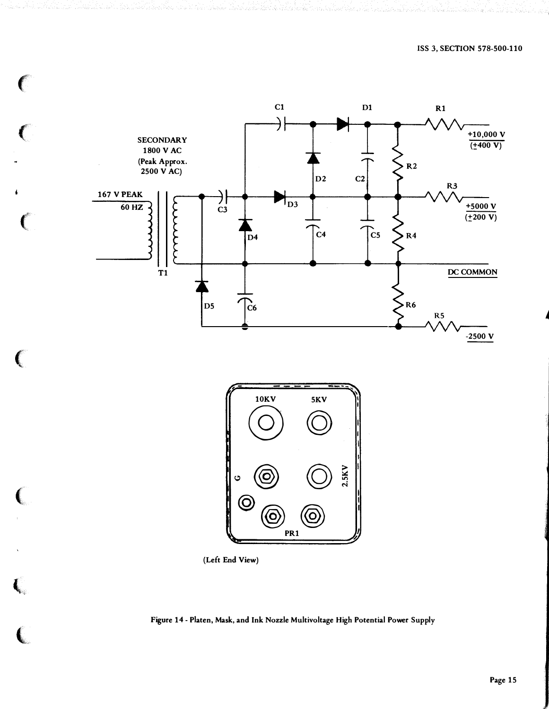

 $\big($ 

 $\overline{C}$ 

 $\big($ 

 $\epsilon$ 

 $\big($ 

 $\, \zeta \,$ 

 $\overline{\mathbb{C}}$ 



(Left End View)

Figure 14- Platen, Mask, and Ink Nozzle Multivoltage High Potential Power Supply

A